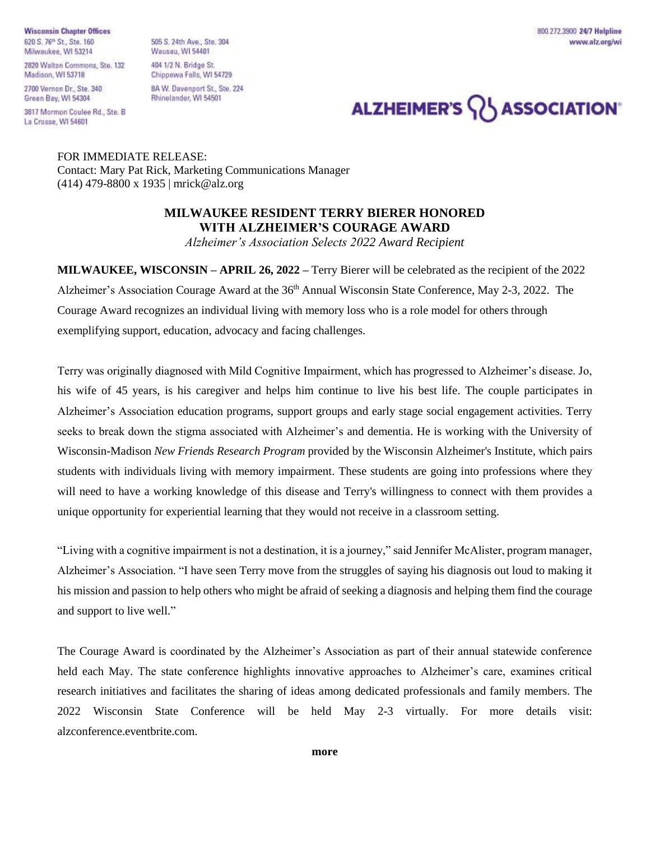**Wisconsin Chapter Offices** 620 S. 76<sup>th</sup> St., Ste. 160 Milwaukee, WI 53214

2700 Vernon Dr., Ste. 340 Green Bay, WI 54304

3817 Mormon Coulee Rd., Ste. B La Crosse, WI 54601

505 S. 24th Ave., Ste. 304 **Wausau, WI 54401** 404 1/2 N. Bridge St. Chippewa Falls, WI 54729 8A W. Davenport St., Ste. 224 Rhinelander, WI 54501

800.272.3900 24/7 Helpline www.alz.org/wi

## ALZHEIMER'S **ASSOCIATION**

FOR IMMEDIATE RELEASE: Contact: Mary Pat Rick, Marketing Communications Manager (414) 479-8800 x 1935 | mrick@alz.org

## **MILWAUKEE RESIDENT TERRY BIERER HONORED WITH ALZHEIMER'S COURAGE AWARD**

*Alzheimer's Association Selects 2022 Award Recipient*

**MILWAUKEE, WISCONSIN – APRIL 26, 2022 –** Terry Bierer will be celebrated as the recipient of the 2022 Alzheimer's Association Courage Award at the 36<sup>th</sup> Annual Wisconsin State Conference, May 2-3, 2022. The Courage Award recognizes an individual living with memory loss who is a role model for others through exemplifying support, education, advocacy and facing challenges.

Terry was originally diagnosed with Mild Cognitive Impairment, which has progressed to Alzheimer's disease. Jo, his wife of 45 years, is his caregiver and helps him continue to live his best life. The couple participates in Alzheimer's Association education programs, support groups and early stage social engagement activities. Terry seeks to break down the stigma associated with Alzheimer's and dementia. He is working with the University of Wisconsin-Madison *New Friends Research Program* provided by the Wisconsin Alzheimer's Institute, which pairs students with individuals living with memory impairment. These students are going into professions where they will need to have a working knowledge of this disease and Terry's willingness to connect with them provides a unique opportunity for experiential learning that they would not receive in a classroom setting.

"Living with a cognitive impairment is not a destination, it is a journey," said Jennifer McAlister, program manager, Alzheimer's Association. "I have seen Terry move from the struggles of saying his diagnosis out loud to making it his mission and passion to help others who might be afraid of seeking a diagnosis and helping them find the courage and support to live well."

The Courage Award is coordinated by the Alzheimer's Association as part of their annual statewide conference held each May. The state conference highlights innovative approaches to Alzheimer's care, examines critical research initiatives and facilitates the sharing of ideas among dedicated professionals and family members. The 2022 Wisconsin State Conference will be held May 2-3 virtually. For more details visit: alzconference.eventbrite.com.

**more**